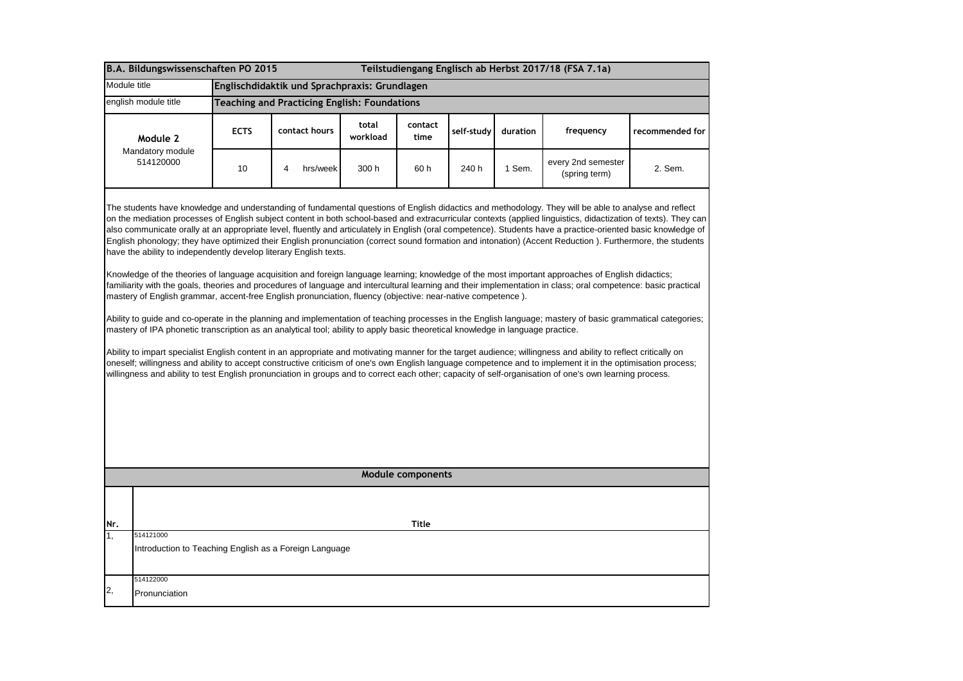| B.A. Bildungswissenschaften PO 2015<br>Teilstudiengang Englisch ab Herbst 2017/18 (FSA 7.1a) |                                                                                                                                                                                                                                                                                                                     |                                                     |               |                   |                   |            |          |                                                                                                                                                                                                                                                                                                                                                                                                                                                                                                                                                                                                                                                                                                                                                                                                                                                                                                                                                                                                                                                                                                                                                                                                                                                                                                                                                                                                                                                                                                                                                                                                                                         |                 |  |
|----------------------------------------------------------------------------------------------|---------------------------------------------------------------------------------------------------------------------------------------------------------------------------------------------------------------------------------------------------------------------------------------------------------------------|-----------------------------------------------------|---------------|-------------------|-------------------|------------|----------|-----------------------------------------------------------------------------------------------------------------------------------------------------------------------------------------------------------------------------------------------------------------------------------------------------------------------------------------------------------------------------------------------------------------------------------------------------------------------------------------------------------------------------------------------------------------------------------------------------------------------------------------------------------------------------------------------------------------------------------------------------------------------------------------------------------------------------------------------------------------------------------------------------------------------------------------------------------------------------------------------------------------------------------------------------------------------------------------------------------------------------------------------------------------------------------------------------------------------------------------------------------------------------------------------------------------------------------------------------------------------------------------------------------------------------------------------------------------------------------------------------------------------------------------------------------------------------------------------------------------------------------------|-----------------|--|
| Module title                                                                                 |                                                                                                                                                                                                                                                                                                                     | Englischdidaktik und Sprachpraxis: Grundlagen       |               |                   |                   |            |          |                                                                                                                                                                                                                                                                                                                                                                                                                                                                                                                                                                                                                                                                                                                                                                                                                                                                                                                                                                                                                                                                                                                                                                                                                                                                                                                                                                                                                                                                                                                                                                                                                                         |                 |  |
|                                                                                              | english module title                                                                                                                                                                                                                                                                                                | <b>Teaching and Practicing English: Foundations</b> |               |                   |                   |            |          |                                                                                                                                                                                                                                                                                                                                                                                                                                                                                                                                                                                                                                                                                                                                                                                                                                                                                                                                                                                                                                                                                                                                                                                                                                                                                                                                                                                                                                                                                                                                                                                                                                         |                 |  |
|                                                                                              | Module 2<br>Mandatory module<br>514120000                                                                                                                                                                                                                                                                           | <b>ECTS</b>                                         | contact hours | total<br>workload | contact<br>time   | self-study | duration | frequency                                                                                                                                                                                                                                                                                                                                                                                                                                                                                                                                                                                                                                                                                                                                                                                                                                                                                                                                                                                                                                                                                                                                                                                                                                                                                                                                                                                                                                                                                                                                                                                                                               | recommended for |  |
|                                                                                              |                                                                                                                                                                                                                                                                                                                     | 10                                                  | hrs/week<br>4 | 300 h             | 60 h              | 240 h      | 1 Sem.   | every 2nd semester<br>(spring term)                                                                                                                                                                                                                                                                                                                                                                                                                                                                                                                                                                                                                                                                                                                                                                                                                                                                                                                                                                                                                                                                                                                                                                                                                                                                                                                                                                                                                                                                                                                                                                                                     | 2. Sem.         |  |
|                                                                                              | have the ability to independently develop literary English texts.<br>mastery of English grammar, accent-free English pronunciation, fluency (objective: near-native competence).<br>mastery of IPA phonetic transcription as an analytical tool; ability to apply basic theoretical knowledge in language practice. |                                                     |               |                   |                   |            |          | The students have knowledge and understanding of fundamental questions of English didactics and methodology. They will be able to analyse and reflect<br>on the mediation processes of English subject content in both school-based and extracurricular contexts (applied linguistics, didactization of texts). They can<br>also communicate orally at an appropriate level, fluently and articulately in English (oral competence). Students have a practice-oriented basic knowledge of<br>English phonology; they have optimized their English pronunciation (correct sound formation and intonation) (Accent Reduction). Furthermore, the students<br>Knowledge of the theories of language acquisition and foreign language learning; knowledge of the most important approaches of English didactics;<br>familiarity with the goals, theories and procedures of language and intercultural learning and their implementation in class; oral competence: basic practical<br>Ability to guide and co-operate in the planning and implementation of teaching processes in the English language; mastery of basic grammatical categories;<br>Ability to impart specialist English content in an appropriate and motivating manner for the target audience; willingness and ability to reflect critically on<br>oneself; willingness and ability to accept constructive criticism of one's own English language competence and to implement it in the optimisation process;<br>willingness and ability to test English pronunciation in groups and to correct each other; capacity of self-organisation of one's own learning process. |                 |  |
|                                                                                              |                                                                                                                                                                                                                                                                                                                     |                                                     |               |                   | Module components |            |          |                                                                                                                                                                                                                                                                                                                                                                                                                                                                                                                                                                                                                                                                                                                                                                                                                                                                                                                                                                                                                                                                                                                                                                                                                                                                                                                                                                                                                                                                                                                                                                                                                                         |                 |  |
|                                                                                              |                                                                                                                                                                                                                                                                                                                     |                                                     |               |                   |                   |            |          |                                                                                                                                                                                                                                                                                                                                                                                                                                                                                                                                                                                                                                                                                                                                                                                                                                                                                                                                                                                                                                                                                                                                                                                                                                                                                                                                                                                                                                                                                                                                                                                                                                         |                 |  |
| Nr.                                                                                          |                                                                                                                                                                                                                                                                                                                     |                                                     |               |                   | <b>Title</b>      |            |          |                                                                                                                                                                                                                                                                                                                                                                                                                                                                                                                                                                                                                                                                                                                                                                                                                                                                                                                                                                                                                                                                                                                                                                                                                                                                                                                                                                                                                                                                                                                                                                                                                                         |                 |  |
| 1.                                                                                           | 514121000<br>Introduction to Teaching English as a Foreign Language                                                                                                                                                                                                                                                 |                                                     |               |                   |                   |            |          |                                                                                                                                                                                                                                                                                                                                                                                                                                                                                                                                                                                                                                                                                                                                                                                                                                                                                                                                                                                                                                                                                                                                                                                                                                                                                                                                                                                                                                                                                                                                                                                                                                         |                 |  |
| 514122000<br>2,<br>Pronunciation                                                             |                                                                                                                                                                                                                                                                                                                     |                                                     |               |                   |                   |            |          |                                                                                                                                                                                                                                                                                                                                                                                                                                                                                                                                                                                                                                                                                                                                                                                                                                                                                                                                                                                                                                                                                                                                                                                                                                                                                                                                                                                                                                                                                                                                                                                                                                         |                 |  |